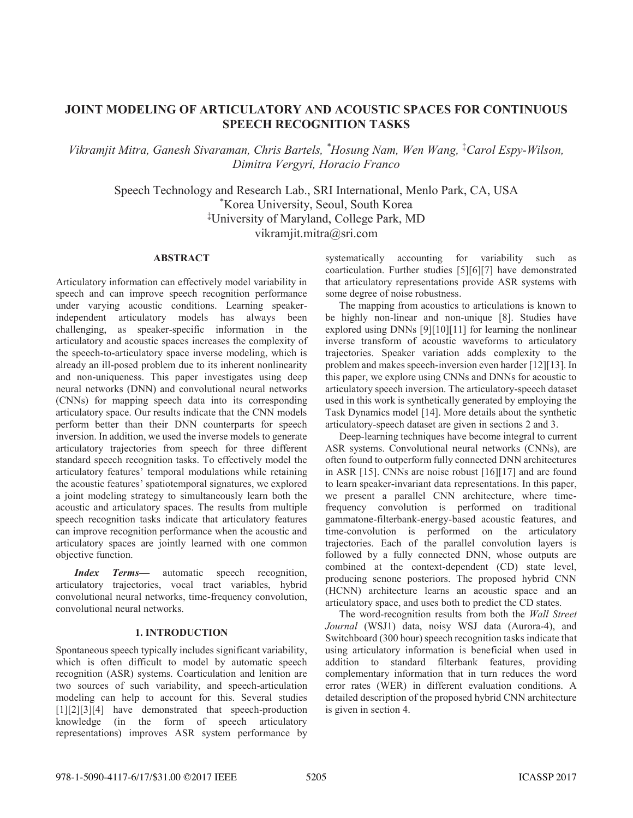# **JOINT MODELING OF ARTICULATORY AND ACOUSTIC SPACES FOR CONTINUOUS SPEECH RECOGNITION TASKS**

*Vikramjit Mitra, Ganesh Sivaraman, Chris Bartels, \* Hosung Nam, Wen Wang,* <sup>Á</sup> *Carol EspyWilson, Dimitra Vergyri, Horacio Franco*

Speech Technology and Research Lab., SRI International, Menlo Park, CA, USA \* Korea University, Seoul, South Korea Á University of Maryland, College Park, MD vikramjit.mitra@sri.com

## **ABSTRACT**

Articulatory information can effectively model variability in speech and can improve speech recognition performance under varying acoustic conditions. Learning speakerindependent articulatory models has always been challenging, as speaker-specific information in the articulatory and acoustic spaces increases the complexity of the speech-to-articulatory space inverse modeling, which is already an ill-posed problem due to its inherent nonlinearity and non-uniqueness. This paper investigates using deep neural networks (DNN) and convolutional neural networks (CNNs) for mapping speech data into its corresponding articulatory space. Our results indicate that the CNN models perform better than their DNN counterparts for speech inversion. In addition, we used the inverse models to generate articulatory trajectories from speech for three different standard speech recognition tasks. To effectively model the articulatory features' temporal modulations while retaining the acoustic features' spatiotemporal signatures, we explored a joint modeling strategy to simultaneously learn both the acoustic and articulatory spaces. The results from multiple speech recognition tasks indicate that articulatory features can improve recognition performance when the acoustic and articulatory spaces are jointly learned with one common objective function.

*Index Terms*— automatic speech recognition, articulatory trajectories, vocal tract variables, hybrid convolutional neural networks, time-frequency convolution, convolutional neural networks.

## **1. INTRODUCTION**

Spontaneous speech typically includes significant variability, which is often difficult to model by automatic speech recognition (ASR) systems. Coarticulation and lenition are two sources of such variability, and speech-articulation modeling can help to account for this. Several studies [1][2][3][4] have demonstrated that speech-production knowledge (in the form of speech articulatory representations) improves ASR system performance by

systematically accounting for variability such as coarticulation. Further studies [5][6][7] have demonstrated that articulatory representations provide ASR systems with some degree of noise robustness.

The mapping from acoustics to articulations is known to be highly non-linear and non-unique [8]. Studies have explored using DNNs [9][10][11] for learning the nonlinear inverse transform of acoustic waveforms to articulatory trajectories. Speaker variation adds complexity to the problem and makes speech-inversion even harder [12][13]. In this paper, we explore using CNNs and DNNs for acoustic to articulatory speech inversion. The articulatory-speech dataset used in this work is synthetically generated by employing the Task Dynamics model [14]. More details about the synthetic articulatory-speech dataset are given in sections 2 and 3.

Deep-learning techniques have become integral to current ASR systems. Convolutional neural networks (CNNs), are often found to outperform fully connected DNN architectures in ASR [15]. CNNs are noise robust [16][17] and are found to learn speaker-invariant data representations. In this paper, we present a parallel CNN architecture, where timefrequency convolution is performed on traditional gammatone-filterbank-energy-based acoustic features, and time-convolution is performed on the articulatory trajectories. Each of the parallel convolution layers is followed by a fully connected DNN, whose outputs are combined at the context-dependent (CD) state level, producing senone posteriors. The proposed hybrid CNN (HCNN) architecture learns an acoustic space and an articulatory space, and uses both to predict the CD states.

The word-recognition results from both the *Wall Street Journal* (WSJ1) data, noisy WSJ data (Aurora-4), and Switchboard (300 hour) speech recognition tasks indicate that using articulatory information is beneficial when used in addition to standard filterbank features, providing complementary information that in turn reduces the word error rates (WER) in different evaluation conditions. A detailed description of the proposed hybrid CNN architecture is given in section 4.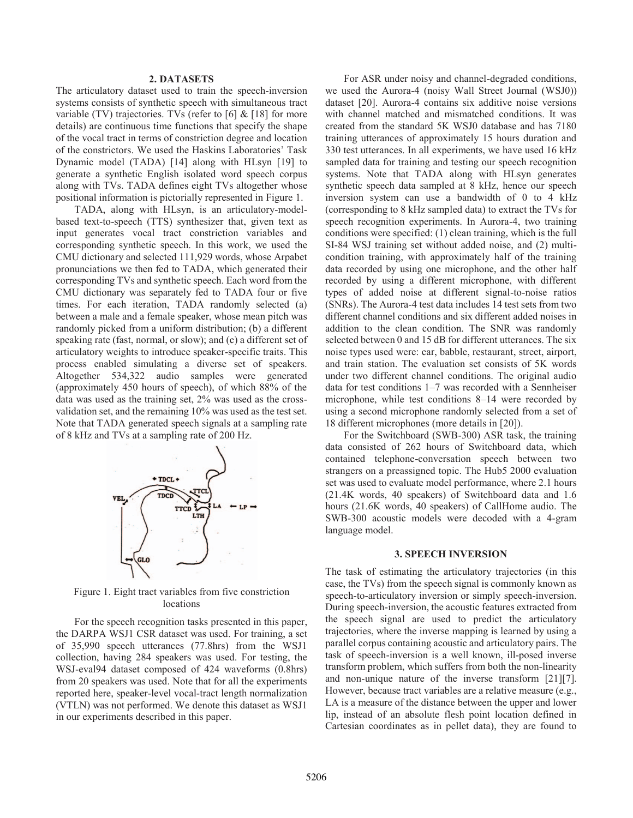## **2. DATASETS**

The articulatory dataset used to train the speech-inversion systems consists of synthetic speech with simultaneous tract variable (TV) trajectories. TVs (refer to  $[6]$  &  $[18]$  for more details) are continuous time functions that specify the shape of the vocal tract in terms of constriction degree and location of the constrictors. We used the Haskins Laboratories' Task Dynamic model (TADA) [14] along with HLsyn [19] to generate a synthetic English isolated word speech corpus along with TVs. TADA defines eight TVs altogether whose positional information is pictorially represented in Figure 1.

TADA, along with HLsyn, is an articulatory-modelbased text-to-speech (TTS) synthesizer that, given text as input generates vocal tract constriction variables and corresponding synthetic speech. In this work, we used the CMU dictionary and selected 111,929 words, whose Arpabet pronunciations we then fed to TADA, which generated their corresponding TVs and synthetic speech. Each word from the CMU dictionary was separately fed to TADA four or five times. For each iteration, TADA randomly selected (a) between a male and a female speaker, whose mean pitch was randomly picked from a uniform distribution; (b) a different speaking rate (fast, normal, or slow); and (c) a different set of articulatory weights to introduce speaker-specific traits. This process enabled simulating a diverse set of speakers. Altogether 534,322 audio samples were generated (approximately 450 hours of speech), of which 88% of the data was used as the training set, 2% was used as the crossvalidation set, and the remaining 10% was used as the test set. Note that TADA generated speech signals at a sampling rate of 8 kHz and TVs at a sampling rate of 200 Hz.



Figure 1. Eight tract variables from five constriction locations

For the speech recognition tasks presented in this paper, the DARPA WSJ1 CSR dataset was used. For training, a set of 35,990 speech utterances (77.8hrs) from the WSJ1 collection, having 284 speakers was used. For testing, the WSJ-eval94 dataset composed of 424 waveforms (0.8hrs) from 20 speakers was used. Note that for all the experiments reported here, speaker-level vocal-tract length normalization (VTLN) was not performed. We denote this dataset as WSJ1 in our experiments described in this paper.

For ASR under noisy and channel-degraded conditions, we used the Aurora-4 (noisy Wall Street Journal (WSJ0)) dataset [20]. Aurora-4 contains six additive noise versions with channel matched and mismatched conditions. It was created from the standard 5K WSJ0 database and has 7180 training utterances of approximately 15 hours duration and 330 test utterances. In all experiments, we have used 16 kHz sampled data for training and testing our speech recognition systems. Note that TADA along with HLsyn generates synthetic speech data sampled at 8 kHz, hence our speech inversion system can use a bandwidth of 0 to 4 kHz (corresponding to 8 kHz sampled data) to extract the TVs for speech recognition experiments. In Aurora-4, two training conditions were specified: (1) clean training, which is the full SI-84 WSJ training set without added noise, and (2) multicondition training, with approximately half of the training data recorded by using one microphone, and the other half recorded by using a different microphone, with different types of added noise at different signal-to-noise ratios (SNRs). The Aurora-4 test data includes 14 test sets from two different channel conditions and six different added noises in addition to the clean condition. The SNR was randomly selected between 0 and 15 dB for different utterances. The six noise types used were: car, babble, restaurant, street, airport, and train station. The evaluation set consists of 5K words under two different channel conditions. The original audio data for test conditions  $1-7$  was recorded with a Sennheiser microphone, while test conditions 8–14 were recorded by using a second microphone randomly selected from a set of 18 different microphones (more details in [20]).

For the Switchboard (SWB-300) ASR task, the training data consisted of 262 hours of Switchboard data, which contained telephone-conversation speech between two strangers on a preassigned topic. The Hub5 2000 evaluation set was used to evaluate model performance, where 2.1 hours (21.4K words, 40 speakers) of Switchboard data and 1.6 hours (21.6K words, 40 speakers) of CallHome audio. The SWB-300 acoustic models were decoded with a 4-gram language model.

#### **3. SPEECH INVERSION**

The task of estimating the articulatory trajectories (in this case, the TVs) from the speech signal is commonly known as speech-to-articulatory inversion or simply speech-inversion. During speech-inversion, the acoustic features extracted from the speech signal are used to predict the articulatory trajectories, where the inverse mapping is learned by using a parallel corpus containing acoustic and articulatory pairs. The task of speech-inversion is a well known, ill-posed inverse transform problem, which suffers from both the non-linearity and non-unique nature of the inverse transform [21][7]. However, because tract variables are a relative measure (e.g., LA is a measure of the distance between the upper and lower lip, instead of an absolute flesh point location defined in Cartesian coordinates as in pellet data), they are found to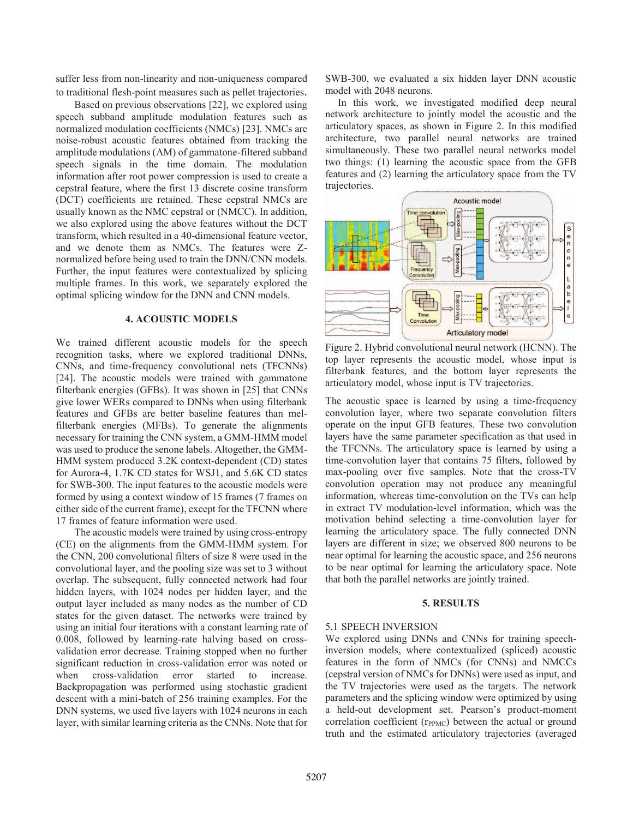suffer less from non-linearity and non-uniqueness compared

to traditional flesh-point measures such as pellet trajectories. Based on previous observations [22], we explored using speech subband amplitude modulation features such as normalized modulation coefficients (NMCs) [23]. NMCs are noise-robust acoustic features obtained from tracking the amplitude modulations (AM) of gammatone-filtered subband speech signals in the time domain. The modulation information after root power compression is used to create a cepstral feature, where the first 13 discrete cosine transform (DCT) coefficients are retained. These cepstral NMCs are usually known as the NMC cepstral or (NMCC). In addition, we also explored using the above features without the DCT transform, which resulted in a 40-dimensional feature vector, and we denote them as NMCs. The features were Znormalized before being used to train the DNN/CNN models. Further, the input features were contextualized by splicing multiple frames. In this work, we separately explored the optimal splicing window for the DNN and CNN models.

# **4. ACOUSTIC MODELS**

We trained different acoustic models for the speech recognition tasks, where we explored traditional DNNs, CNNs, and time-frequency convolutional nets (TFCNNs) [24]. The acoustic models were trained with gammatone filterbank energies (GFBs). It was shown in [25] that CNNs give lower WERs compared to DNNs when using filterbank features and GFBs are better baseline features than melfilterbank energies (MFBs). To generate the alignments necessary for training the CNN system, a GMM-HMM model was used to produce the senone labels. Altogether, the GMM-HMM system produced 3.2K context-dependent (CD) states for Aurora-4, 1.7K CD states for WSJ1, and 5.6K CD states for SWB-300. The input features to the acoustic models were formed by using a context window of 15 frames (7 frames on either side of the current frame), except for the TFCNN where 17 frames of feature information were used.

The acoustic models were trained by using cross-entropy (CE) on the alignments from the GMM-HMM system. For the CNN, 200 convolutional filters of size 8 were used in the convolutional layer, and the pooling size was set to 3 without overlap. The subsequent, fully connected network had four hidden layers, with 1024 nodes per hidden layer, and the output layer included as many nodes as the number of CD states for the given dataset. The networks were trained by using an initial four iterations with a constant learning rate of 0.008, followed by learning-rate halving based on crossvalidation error decrease. Training stopped when no further significant reduction in cross-validation error was noted or when cross-validation error started to increase. Backpropagation was performed using stochastic gradient descent with a mini-batch of 256 training examples. For the DNN systems, we used five layers with 1024 neurons in each layer, with similar learning criteria as the CNNs. Note that for

SWB-300, we evaluated a six hidden layer DNN acoustic model with 2048 neurons.

In this work, we investigated modified deep neural network architecture to jointly model the acoustic and the articulatory spaces, as shown in Figure 2. In this modified architecture, two parallel neural networks are trained simultaneously. These two parallel neural networks model two things: (1) learning the acoustic space from the GFB features and (2) learning the articulatory space from the TV trajectories.



Figure 2. Hybrid convolutional neural network (HCNN). The top layer represents the acoustic model, whose input is filterbank features, and the bottom layer represents the articulatory model, whose input is TV trajectories.

The acoustic space is learned by using a time-frequency convolution layer, where two separate convolution filters operate on the input GFB features. These two convolution layers have the same parameter specification as that used in the TFCNNs. The articulatory space is learned by using a time-convolution layer that contains 75 filters, followed by max-pooling over five samples. Note that the cross-TV convolution operation may not produce any meaningful information, whereas time-convolution on the TVs can help in extract TV modulation-level information, which was the motivation behind selecting a time-convolution layer for learning the articulatory space. The fully connected DNN layers are different in size; we observed 800 neurons to be near optimal for learning the acoustic space, and 256 neurons to be near optimal for learning the articulatory space. Note that both the parallel networks are jointly trained.

#### **5. RESULTS**

#### 5.1 SPEECH INVERSION

We explored using DNNs and CNNs for training speechinversion models, where contextualized (spliced) acoustic features in the form of NMCs (for CNNs) and NMCCs (cepstral version of NMCs for DNNs) were used as input, and the TV trajectories were used as the targets. The network parameters and the splicing window were optimized by using a held-out development set. Pearson's product-moment correlation coefficient (r<sub>PPMC</sub>) between the actual or ground truth and the estimated articulatory trajectories (averaged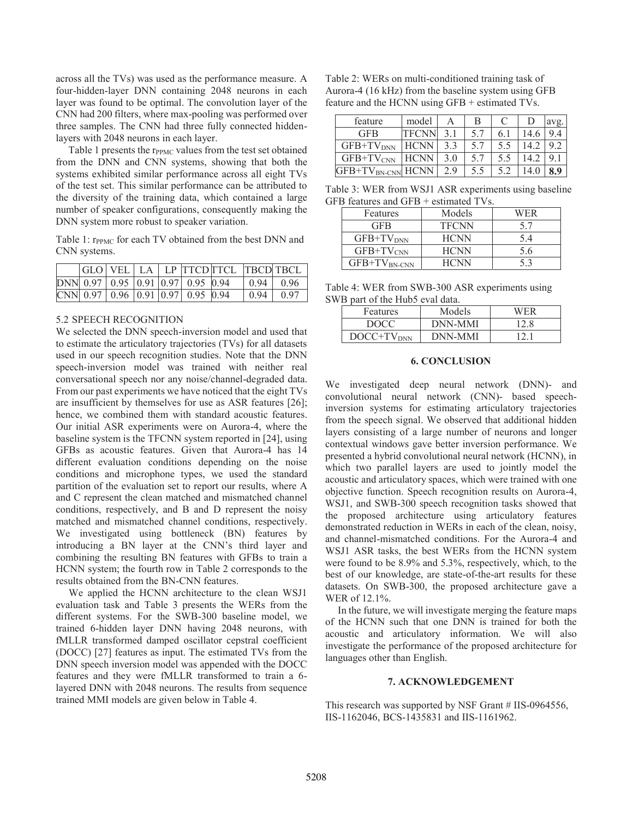across all the TVs) was used as the performance measure. A four-hidden-layer DNN containing 2048 neurons in each layer was found to be optimal. The convolution layer of the CNN had 200 filters, where max-pooling was performed over three samples. The CNN had three fully connected hiddenlayers with 2048 neurons in each layer.

Table 1 presents the  $r_{PPMC}$  values from the test set obtained from the DNN and CNN systems, showing that both the systems exhibited similar performance across all eight TVs of the test set. This similar performance can be attributed to the diversity of the training data, which contained a large number of speaker configurations, consequently making the DNN system more robust to speaker variation.

Table 1:  $r_{\text{PPMC}}$  for each TV obtained from the best DNN and CNN systems.

|  |  |                                                        | GLO VEL  LA   LP  TTCD TTCL  TBCD TBCL |                 |      |
|--|--|--------------------------------------------------------|----------------------------------------|-----------------|------|
|  |  | $DNN$ 0.97   0.95   0.91   0.97   0.95   0.94          |                                        | $0.94 \pm 0.96$ |      |
|  |  | $\text{CNN}$   0.97   0.96   0.91   0.97   0.95   0.94 |                                        | 0.94            | 0.97 |

## 5.2 SPEECH RECOGNITION

We selected the DNN speech-inversion model and used that to estimate the articulatory trajectories (TVs) for all datasets used in our speech recognition studies. Note that the DNN speech-inversion model was trained with neither real conversational speech nor any noise/channel-degraded data. From our past experiments we have noticed that the eight TVs are insufficient by themselves for use as ASR features [26]; hence, we combined them with standard acoustic features. Our initial ASR experiments were on Aurora-4, where the baseline system is the TFCNN system reported in [24], using GFBs as acoustic features. Given that Aurora-4 has 14 different evaluation conditions depending on the noise conditions and microphone types, we used the standard partition of the evaluation set to report our results, where A and C represent the clean matched and mismatched channel conditions, respectively, and B and D represent the noisy matched and mismatched channel conditions, respectively. We investigated using bottleneck (BN) features by introducing a BN layer at the CNN's third layer and combining the resulting BN features with GFBs to train a HCNN system; the fourth row in Table 2 corresponds to the results obtained from the BN-CNN features.

 We applied the HCNN architecture to the clean WSJ1 evaluation task and Table 3 presents the WERs from the different systems. For the SWB-300 baseline model, we trained 6-hidden layer DNN having 2048 neurons, with fMLLR transformed damped oscillator cepstral coefficient (DOCC) [27] features as input. The estimated TVs from the DNN speech inversion model was appended with the DOCC features and they were fMLLR transformed to train a 6 layered DNN with 2048 neurons. The results from sequence trained MMI models are given below in Table 4.

Table 2: WERs on multi-conditioned training task of Aurora-4 (16 kHz) from the baseline system using GFB feature and the HCNN using GFB + estimated TVs.

| feature                       | model        |     | В   |      |      |  |
|-------------------------------|--------------|-----|-----|------|------|--|
| <b>GFB</b>                    | <b>TFCNN</b> | 3.1 | 5.7 | 6. l |      |  |
| $GFB+TVDNN$                   | <b>HCNN</b>  | 3.3 | 5.7 |      | 14.2 |  |
| $GFB+TV_{CNN}$                | <b>HCNN</b>  | 3.0 | 5.7 |      | 14.2 |  |
| GFB+TV <sub>BN-CNN</sub> HCNN |              | 29  | 5.5 |      |      |  |

Table 3: WER from WSJ1 ASR experiments using baseline GFB features and GFB + estimated TVs.

| Features          | Models       | WER |
|-------------------|--------------|-----|
| GFB               | <b>TFCNN</b> | 5.7 |
| $GFB+TVDNN$       | <b>HCNN</b>  | 5.4 |
| $GFB+TV_{CNN}$    | <b>HCNN</b>  | 5.6 |
| $GFB+TV_{BN-CNN}$ | HCNN         | 53  |

Table 4: WER from SWB-300 ASR experiments using SWB part of the Hub5 eval data.

| <b>Features</b> | Models  | WFR  |
|-----------------|---------|------|
| DOCC            | DNN-MMI | 12.8 |
| $DOC+TVDNN$     | DNN-MMI |      |

#### **6. CONCLUSION**

We investigated deep neural network (DNN)- and convolutional neural network (CNN)- based speechinversion systems for estimating articulatory trajectories from the speech signal. We observed that additional hidden layers consisting of a large number of neurons and longer contextual windows gave better inversion performance. We presented a hybrid convolutional neural network (HCNN), in which two parallel layers are used to jointly model the acoustic and articulatory spaces, which were trained with one objective function. Speech recognition results on Aurora-4, WSJ1, and SWB-300 speech recognition tasks showed that the proposed architecture using articulatory features demonstrated reduction in WERs in each of the clean, noisy, and channel-mismatched conditions. For the Aurora-4 and WSJ1 ASR tasks, the best WERs from the HCNN system were found to be 8.9% and 5.3%, respectively, which, to the best of our knowledge, are state-of-the-art results for these datasets. On SWB-300, the proposed architecture gave a WER of 12.1%.

In the future, we will investigate merging the feature maps of the HCNN such that one DNN is trained for both the acoustic and articulatory information. We will also investigate the performance of the proposed architecture for languages other than English.

# **7. ACKNOWLEDGEMENT**

This research was supported by NSF Grant # IIS-0964556, IIS-1162046, BCS-1435831 and IIS-1161962.